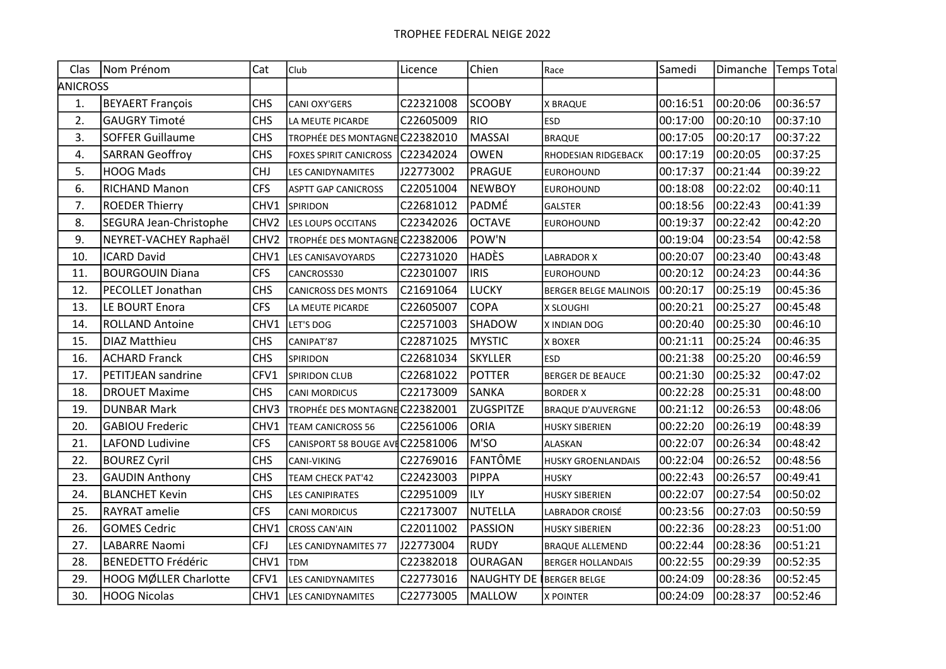| Clas            | Nom Prénom                | Cat              | Club                            | Licence   | Chien             | Race                      | Samedi   |          | Dimanche   Temps Total |
|-----------------|---------------------------|------------------|---------------------------------|-----------|-------------------|---------------------------|----------|----------|------------------------|
| <b>ANICROSS</b> |                           |                  |                                 |           |                   |                           |          |          |                        |
| 1.              | BEYAERT François          | <b>CHS</b>       | <b>CANI OXY'GERS</b>            | C22321008 | <b>SCOOBY</b>     | X BRAQUE                  | 00:16:51 | 00:20:06 | 00:36:57               |
| 2.              | <b>GAUGRY Timoté</b>      | <b>CHS</b>       | LA MEUTE PICARDE                | C22605009 | <b>RIO</b>        | <b>ESD</b>                | 00:17:00 | 00:20:10 | 00:37:10               |
| 3.              | SOFFER Guillaume          | <b>CHS</b>       | TROPHÉE DES MONTAGNE C22382010  |           | <b>MASSAI</b>     | <b>BRAQUE</b>             | 00:17:05 | 00:20:17 | 00:37:22               |
| 4.              | SARRAN Geoffroy           | <b>CHS</b>       | <b>FOXES SPIRIT CANICROSS</b>   | C22342024 | <b>OWEN</b>       | RHODESIAN RIDGEBACK       | 00:17:19 | 00:20:05 | 00:37:25               |
| 5.              | <b>HOOG Mads</b>          | <b>CHJ</b>       | LES CANIDYNAMITES               | J22773002 | <b>PRAGUE</b>     | <b>EUROHOUND</b>          | 00:17:37 | 00:21:44 | 00:39:22               |
| 6.              | <b>RICHAND Manon</b>      | <b>CFS</b>       | <b>ASPTT GAP CANICROSS</b>      | C22051004 | <b>NEWBOY</b>     | <b>EUROHOUND</b>          | 00:18:08 | 00:22:02 | 00:40:11               |
| 7.              | <b>ROEDER Thierry</b>     | CHV1             | SPIRIDON                        | C22681012 | PADMÉ             | <b>GALSTER</b>            | 00:18:56 | 00:22:43 | 00:41:39               |
| 8.              | SEGURA Jean-Christophe    | CHV <sub>2</sub> | LES LOUPS OCCITANS              | C22342026 | <b>OCTAVE</b>     | EUROHOUND                 | 00:19:37 | 00:22:42 | 00:42:20               |
| 9.              | NEYRET-VACHEY Raphaël     | CHV <sub>2</sub> | TROPHÉE DES MONTAGNE C22382006  |           | POW'N             |                           | 00:19:04 | 00:23:54 | 00:42:58               |
| 10.             | <b>ICARD David</b>        | CHV1             | <b>LES CANISAVOYARDS</b>        | C22731020 | <b>HADÈS</b>      | LABRADOR X                | 00:20:07 | 00:23:40 | 00:43:48               |
| 11.             | <b>BOURGOUIN Diana</b>    | <b>CFS</b>       | CANCROSS30                      | C22301007 | <b>IRIS</b>       | <b>EUROHOUND</b>          | 00:20:12 | 00:24:23 | 00:44:36               |
| 12.             | PECOLLET Jonathan         | <b>CHS</b>       | CANICROSS DES MONTS             | C21691064 | <b>LUCKY</b>      | BERGER BELGE MALINOIS     | 00:20:17 | 00:25:19 | 00:45:36               |
| 13.             | LE BOURT Enora            | <b>CFS</b>       | LA MEUTE PICARDE                | C22605007 | <b>COPA</b>       | X SLOUGHI                 | 00:20:21 | 00:25:27 | 00:45:48               |
| 14.             | <b>ROLLAND Antoine</b>    | CHV1             | LET'S DOG                       | C22571003 | SHADOW            | X INDIAN DOG              | 00:20:40 | 00:25:30 | 00:46:10               |
| 15.             | DIAZ Matthieu             | <b>CHS</b>       | CANIPAT'87                      | C22871025 | <b>MYSTIC</b>     | <b>X BOXER</b>            | 00:21:11 | 00:25:24 | 00:46:35               |
| 16.             | ACHARD Franck             | <b>CHS</b>       | <b>SPIRIDON</b>                 | C22681034 | <b>SKYLLER</b>    | <b>ESD</b>                | 00:21:38 | 00:25:20 | 00:46:59               |
| 17.             | PETITJEAN sandrine        | CFV1             | SPIRIDON CLUB                   | C22681022 | <b>POTTER</b>     | <b>BERGER DE BEAUCE</b>   | 00:21:30 | 00:25:32 | 00:47:02               |
| 18.             | <b>DROUET Maxime</b>      | <b>CHS</b>       | <b>CANI MORDICUS</b>            | C22173009 | SANKA             | <b>BORDER X</b>           | 00:22:28 | 00:25:31 | 00:48:00               |
| 19.             | <b>DUNBAR Mark</b>        | CHV3             | TROPHÉE DES MONTAGNE C22382001  |           | ZUGSPITZE         | <b>BRAQUE D'AUVERGNE</b>  | 00:21:12 | 00:26:53 | 00:48:06               |
| 20.             | <b>GABIOU Frederic</b>    | CHV1             | <b>TEAM CANICROSS 56</b>        | C22561006 | <b>ORIA</b>       | HUSKY SIBERIEN            | 00:22:20 | 00:26:19 | 00:48:39               |
| 21.             | <b>LAFOND Ludivine</b>    | <b>CFS</b>       | CANISPORT 58 BOUGE AVEC22581006 |           | M'SO              | <b>ALASKAN</b>            | 00:22:07 | 00:26:34 | 00:48:42               |
| 22.             | <b>BOUREZ Cyril</b>       | <b>CHS</b>       | CANI-VIKING                     | C22769016 | FANTÔME           | <b>HUSKY GROENLANDAIS</b> | 00:22:04 | 00:26:52 | 00:48:56               |
| 23.             | <b>GAUDIN Anthony</b>     | <b>CHS</b>       | TEAM CHECK PAT'42               | C22423003 | <b>PIPPA</b>      | HUSKY                     | 00:22:43 | 00:26:57 | 00:49:41               |
| 24.             | <b>BLANCHET Kevin</b>     | <b>CHS</b>       | LES CANIPIRATES                 | C22951009 | ILY               | <b>HUSKY SIBERIEN</b>     | 00:22:07 | 00:27:54 | 00:50:02               |
| 25.             | <b>RAYRAT</b> amelie      | <b>CFS</b>       | <b>CANI MORDICUS</b>            | C22173007 | <b>NUTELLA</b>    | LABRADOR CROISÉ           | 00:23:56 | 00:27:03 | 00:50:59               |
| 26.             | <b>GOMES Cedric</b>       | CHV1             | <b>CROSS CAN'AIN</b>            | C22011002 | <b>PASSION</b>    | <b>HUSKY SIBERIEN</b>     | 00:22:36 | 00:28:23 | 00:51:00               |
| 27.             | <b>LABARRE Naomi</b>      | <b>CFJ</b>       | LES CANIDYNAMITES 77            | J22773004 | <b>RUDY</b>       | <b>BRAQUE ALLEMEND</b>    | 00:22:44 | 00:28:36 | 00:51:21               |
| 28.             | <b>BENEDETTO Frédéric</b> | CHV1             | <b>TDM</b>                      | C22382018 | OURAGAN           | <b>BERGER HOLLANDAIS</b>  | 00:22:55 | 00:29:39 | 00:52:35               |
| 29.             | HOOG MØLLER Charlotte     | CFV1             | LES CANIDYNAMITES               | C22773016 | <b>NAUGHTY DE</b> | BERGER BELGE              | 00:24:09 | 00:28:36 | 00:52:45               |
| 30.             | HOOG Nicolas              | CHV1             | LES CANIDYNAMITES               | C22773005 | <b>MALLOW</b>     | <b>X POINTER</b>          | 00:24:09 | 00:28:37 | 00:52:46               |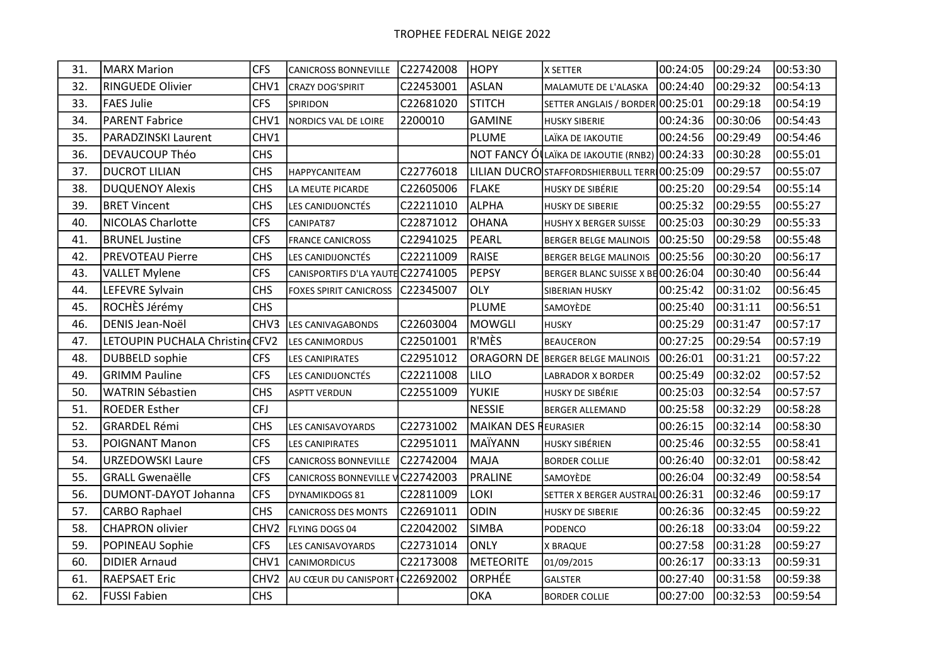| 31. | <b>MARX Marion</b>             | <b>CFS</b>       | <b>CANICROSS BONNEVILLE</b>       | C22742008 | <b>HOPY</b>                 | X SETTER                                      | 00:24:05 | 00:29:24 | 00:53:30 |
|-----|--------------------------------|------------------|-----------------------------------|-----------|-----------------------------|-----------------------------------------------|----------|----------|----------|
| 32. | <b>RINGUEDE Olivier</b>        | CHV1             | <b>CRAZY DOG'SPIRIT</b>           | C22453001 | <b>ASLAN</b>                | MALAMUTE DE L'ALASKA                          | 00:24:40 | 00:29:32 | 00:54:13 |
| 33. | <b>FAES Julie</b>              | <b>CFS</b>       | SPIRIDON                          | C22681020 | <b>STITCH</b>               | SETTER ANGLAIS / BORDER 00:25:01              |          | 00:29:18 | 00:54:19 |
| 34. | <b>PARENT Fabrice</b>          | CHV1             | NORDICS VAL DE LOIRE              | 2200010   | <b>GAMINE</b>               | <b>HUSKY SIBERIE</b>                          | 00:24:36 | 00:30:06 | 00:54:43 |
| 35. | <b>PARADZINSKI Laurent</b>     | CHV1             |                                   |           | <b>PLUME</b>                | LAÏKA DE IAKOUTIE                             | 00:24:56 | 00:29:49 | 00:54:46 |
| 36. | DEVAUCOUP Théo                 | <b>CHS</b>       |                                   |           |                             | NOT FANCY ÓLLAÏKA DE IAKOUTIE (RNB2) 00:24:33 |          | 00:30:28 | 00:55:01 |
| 37. | <b>DUCROT LILIAN</b>           | <b>CHS</b>       | HAPPYCANITEAM                     | C22776018 |                             | LILIAN DUCROSTAFFORDSHIERBULL TERR 00:25:09   |          | 00:29:57 | 00:55:07 |
| 38. | <b>DUQUENOY Alexis</b>         | <b>CHS</b>       | LA MEUTE PICARDE                  | C22605006 | FLAKE                       | HUSKY DE SIBÉRIE                              | 00:25:20 | 00:29:54 | 00:55:14 |
| 39. | <b>BRET Vincent</b>            | <b>CHS</b>       | LES CANIDIJONCTÉS                 | C22211010 | <b>ALPHA</b>                | <b>HUSKY DE SIBERIE</b>                       | 00:25:32 | 00:29:55 | 00:55:27 |
| 40. | <b>NICOLAS Charlotte</b>       | <b>CFS</b>       | CANIPAT87                         | C22871012 | <b>OHANA</b>                | <b>HUSHY X BERGER SUISSE</b>                  | 00:25:03 | 00:30:29 | 00:55:33 |
| 41. | <b>BRUNEL Justine</b>          | <b>CFS</b>       | <b>FRANCE CANICROSS</b>           | C22941025 | PEARL                       | BERGER BELGE MALINOIS                         | 00:25:50 | 00:29:58 | 00:55:48 |
| 42. | <b>PREVOTEAU Pierre</b>        | <b>CHS</b>       | LES CANIDIJONCTÉS                 | C22211009 | RAISE                       | BERGER BELGE MALINOIS                         | 00:25:56 | 00:30:20 | 00:56:17 |
| 43. | <b>VALLET Mylene</b>           | <b>CFS</b>       | CANISPORTIFS D'LA YAUTE C22741005 |           | PEPSY                       | BERGER BLANC SUISSE X BE 00:26:04             |          | 00:30:40 | 00:56:44 |
| 44. | LEFEVRE Sylvain                | <b>CHS</b>       | <b>FOXES SPIRIT CANICROSS</b>     | C22345007 | <b>OLY</b>                  | SIBERIAN HUSKY                                | 00:25:42 | 00:31:02 | 00:56:45 |
| 45. | ROCHÈS Jérémy                  | <b>CHS</b>       |                                   |           | <b>PLUME</b>                | SAMOYÈDE                                      | 00:25:40 | 00:31:11 | 00:56:51 |
| 46. | DENIS Jean-Noël                | CHV3             | <b>LES CANIVAGABONDS</b>          | C22603004 | <b>MOWGLI</b>               | <b>HUSKY</b>                                  | 00:25:29 | 00:31:47 | 00:57:17 |
| 47. | LETOUPIN PUCHALA ChristindCFV2 |                  | <b>LES CANIMORDUS</b>             | C22501001 | R'MÈS                       | <b>BEAUCERON</b>                              | 00:27:25 | 00:29:54 | 00:57:19 |
| 48. | <b>DUBBELD</b> sophie          | <b>CFS</b>       | LES CANIPIRATES                   | C22951012 |                             | <b>ORAGORN DE BERGER BELGE MALINOIS</b>       | 00:26:01 | 00:31:21 | 00:57:22 |
| 49. | <b>GRIMM Pauline</b>           | <b>CFS</b>       | LES CANIDIJONCTÉS                 | C22211008 | <b>LILO</b>                 | LABRADOR X BORDER                             | 00:25:49 | 00:32:02 | 00:57:52 |
| 50. | <b>WATRIN Sébastien</b>        | <b>CHS</b>       | ASPTT VERDUN                      | C22551009 | <b>YUKIE</b>                | HUSKY DE SIBÉRIE                              | 00:25:03 | 00:32:54 | 00:57:57 |
| 51. | <b>ROEDER Esther</b>           | <b>CFJ</b>       |                                   |           | <b>NESSIE</b>               | <b>BERGER ALLEMAND</b>                        | 00:25:58 | 00:32:29 | 00:58:28 |
| 52. | <b>GRARDEL Rémi</b>            | <b>CHS</b>       | LES CANISAVOYARDS                 | C22731002 | <b>MAIKAN DES REURASIER</b> |                                               | 00:26:15 | 00:32:14 | 00:58:30 |
| 53. | <b>POIGNANT Manon</b>          | <b>CFS</b>       | <b>LES CANIPIRATES</b>            | C22951011 | MAÏYANN                     | HUSKY SIBÉRIEN                                | 00:25:46 | 00:32:55 | 00:58:41 |
| 54. | <b>URZEDOWSKI Laure</b>        | <b>CFS</b>       | <b>CANICROSS BONNEVILLE</b>       | C22742004 | <b>MAJA</b>                 | <b>BORDER COLLIE</b>                          | 00:26:40 | 00:32:01 | 00:58:42 |
| 55. | <b>GRALL Gwenaëlle</b>         | <b>CFS</b>       | CANICROSS BONNEVILLE V C22742003  |           | <b>PRALINE</b>              | SAMOYÈDE                                      | 00:26:04 | 00:32:49 | 00:58:54 |
| 56. | DUMONT-DAYOT Johanna           | <b>CFS</b>       | DYNAMIKDOGS 81                    | C22811009 | <b>LOKI</b>                 | SETTER X BERGER AUSTRAL 00:26:31              |          | 00:32:46 | 00:59:17 |
| 57. | <b>CARBO Raphael</b>           | <b>CHS</b>       | <b>CANICROSS DES MONTS</b>        | C22691011 | <b>ODIN</b>                 | <b>HUSKY DE SIBERIE</b>                       | 00:26:36 | 00:32:45 | 00:59:22 |
| 58. | <b>CHAPRON olivier</b>         | CHV <sub>2</sub> | FLYING DOGS 04                    | C22042002 | <b>SIMBA</b>                | PODENCO                                       | 00:26:18 | 00:33:04 | 00:59:22 |
| 59. | POPINEAU Sophie                | <b>CFS</b>       | LES CANISAVOYARDS                 | C22731014 | <b>ONLY</b>                 | <b>X BRAQUE</b>                               | 00:27:58 | 00:31:28 | 00:59:27 |
| 60. | <b>DIDIER Arnaud</b>           | CHV1             | <b>CANIMORDICUS</b>               | C22173008 | <b>METEORITE</b>            | 01/09/2015                                    | 00:26:17 | 00:33:13 | 00:59:31 |
| 61. | <b>RAEPSAET Eric</b>           | CHV <sub>2</sub> | AU CŒUR DU CANISPORT              | C22692002 | ORPHÉE                      | <b>GALSTER</b>                                | 00:27:40 | 00:31:58 | 00:59:38 |
| 62. | <b>FUSSI Fabien</b>            | <b>CHS</b>       |                                   |           | <b>OKA</b>                  | <b>BORDER COLLIE</b>                          | 00:27:00 | 00:32:53 | 00:59:54 |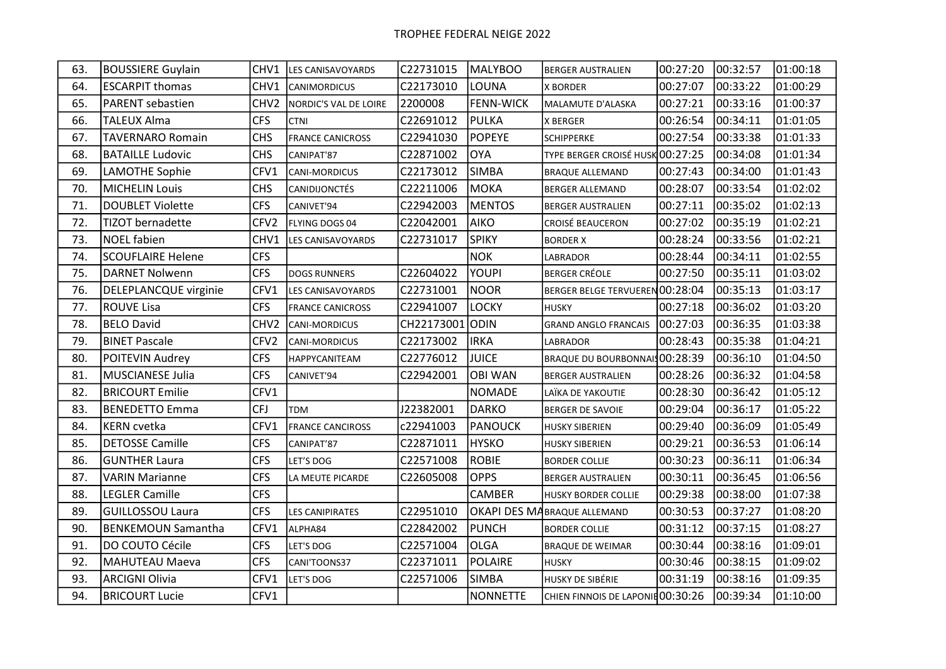| 63. | <b>BOUSSIERE Guylain</b>  | CHV1             | <b>ILES CANISAVOYARDS</b> | C22731015       | MALYBOO          | <b>BERGER AUSTRALIEN</b>          | 00:27:20 | 00:32:57 | 01:00:18 |
|-----|---------------------------|------------------|---------------------------|-----------------|------------------|-----------------------------------|----------|----------|----------|
| 64. | <b>ESCARPIT thomas</b>    | CHV1             | <b>CANIMORDICUS</b>       | C22173010       | LOUNA            | <b>X BORDER</b>                   | 00:27:07 | 00:33:22 | 01:00:29 |
| 65. | PARENT sebastien          | CHV <sub>2</sub> | NORDIC'S VAL DE LOIRE     | 2200008         | <b>FENN-WICK</b> | MALAMUTE D'ALASKA                 | 00:27:21 | 00:33:16 | 01:00:37 |
| 66. | <b>TALEUX Alma</b>        | <b>CFS</b>       | <b>CTNI</b>               | C22691012       | <b>PULKA</b>     | X BERGER                          | 00:26:54 | 00:34:11 | 01:01:05 |
| 67. | <b>TAVERNARO Romain</b>   | <b>CHS</b>       | <b>FRANCE CANICROSS</b>   | C22941030       | <b>POPEYE</b>    | <b>SCHIPPERKE</b>                 | 00:27:54 | 00:33:38 | 01:01:33 |
| 68. | <b>BATAILLE Ludovic</b>   | <b>CHS</b>       | CANIPAT'87                | C22871002       | <b>OYA</b>       | TYPE BERGER CROISÉ HUSK 00:27:25  |          | 00:34:08 | 01:01:34 |
| 69. | <b>LAMOTHE Sophie</b>     | CFV1             | <b>CANI-MORDICUS</b>      | C22173012       | <b>SIMBA</b>     | <b>BRAQUE ALLEMAND</b>            | 00:27:43 | 00:34:00 | 01:01:43 |
| 70. | <b>MICHELIN Louis</b>     | <b>CHS</b>       | <b>CANIDIJONCTÉS</b>      | C22211006       | <b>MOKA</b>      | <b>BERGER ALLEMAND</b>            | 00:28:07 | 00:33:54 | 01:02:02 |
| 71. | <b>DOUBLET Violette</b>   | <b>CFS</b>       | CANIVET'94                | C22942003       | <b>MENTOS</b>    | <b>BERGER AUSTRALIEN</b>          | 00:27:11 | 00:35:02 | 01:02:13 |
| 72. | <b>TIZOT</b> bernadette   | CFV <sub>2</sub> | FLYING DOGS 04            | C22042001       | <b>AIKO</b>      | <b>CROISÉ BEAUCERON</b>           | 00:27:02 | 00:35:19 | 01:02:21 |
| 73. | <b>NOEL fabien</b>        | CHV1             | <b>LES CANISAVOYARDS</b>  | C22731017       | <b>SPIKY</b>     | <b>BORDER X</b>                   | 00:28:24 | 00:33:56 | 01:02:21 |
| 74. | <b>SCOUFLAIRE Helene</b>  | <b>CFS</b>       |                           |                 | <b>NOK</b>       | LABRADOR                          | 00:28:44 | 00:34:11 | 01:02:55 |
| 75. | <b>DARNET Nolwenn</b>     | <b>CFS</b>       | <b>DOGS RUNNERS</b>       | C22604022       | <b>YOUPI</b>     | <b>BERGER CRÉOLE</b>              | 00:27:50 | 00:35:11 | 01:03:02 |
| 76. | DELEPLANCQUE virginie     | CFV1             | LES CANISAVOYARDS         | C22731001       | <b>NOOR</b>      | BERGER BELGE TERVUEREN 00:28:04   |          | 00:35:13 | 01:03:17 |
| 77. | <b>ROUVE Lisa</b>         | <b>CFS</b>       | <b>FRANCE CANICROSS</b>   | C22941007       | <b>LOCKY</b>     | <b>HUSKY</b>                      | 00:27:18 | 00:36:02 | 01:03:20 |
| 78. | <b>BELO David</b>         | CHV <sub>2</sub> | <b>CANI-MORDICUS</b>      | CH22173001 ODIN |                  | <b>GRAND ANGLO FRANCAIS</b>       | 00:27:03 | 00:36:35 | 01:03:38 |
| 79. | <b>BINET Pascale</b>      | CFV <sub>2</sub> | <b>CANI-MORDICUS</b>      | C22173002       | <b>IRKA</b>      | LABRADOR                          | 00:28:43 | 00:35:38 | 01:04:21 |
| 80. | POITEVIN Audrey           | <b>CFS</b>       | HAPPYCANITEAM             | C22776012       | <b>JUICE</b>     | BRAQUE DU BOURBONNAIS 00:28:39    |          | 00:36:10 | 01:04:50 |
| 81. | <b>MUSCIANESE Julia</b>   | <b>CFS</b>       | CANIVET'94                | C22942001       | <b>OBI WAN</b>   | <b>BERGER AUSTRALIEN</b>          | 00:28:26 | 00:36:32 | 01:04:58 |
| 82. | <b>BRICOURT Emilie</b>    | CFV1             |                           |                 | <b>NOMADE</b>    | LAÏKA DE YAKOUTIE                 | 00:28:30 | 00:36:42 | 01:05:12 |
| 83. | <b>BENEDETTO Emma</b>     | <b>CFJ</b>       | <b>TDM</b>                | J22382001       | <b>DARKO</b>     | <b>BERGER DE SAVOIE</b>           | 00:29:04 | 00:36:17 | 01:05:22 |
| 84. | <b>KERN</b> cvetka        | CFV1             | <b>FRANCE CANCIROSS</b>   | c22941003       | <b>PANOUCK</b>   | <b>HUSKY SIBERIEN</b>             | 00:29:40 | 00:36:09 | 01:05:49 |
| 85. | <b>DETOSSE Camille</b>    | <b>CFS</b>       | CANIPAT'87                | C22871011       | <b>HYSKO</b>     | <b>HUSKY SIBERIEN</b>             | 00:29:21 | 00:36:53 | 01:06:14 |
| 86. | <b>GUNTHER Laura</b>      | <b>CFS</b>       | LET'S DOG                 | C22571008       | <b>ROBIE</b>     | <b>BORDER COLLIE</b>              | 00:30:23 | 00:36:11 | 01:06:34 |
| 87. | <b>VARIN Marianne</b>     | <b>CFS</b>       | LA MEUTE PICARDE          | C22605008       | <b>OPPS</b>      | <b>BERGER AUSTRALIEN</b>          | 00:30:11 | 00:36:45 | 01:06:56 |
| 88. | <b>LEGLER Camille</b>     | <b>CFS</b>       |                           |                 | CAMBER           | <b>HUSKY BORDER COLLIE</b>        | 00:29:38 | 00:38:00 | 01:07:38 |
| 89. | GUILLOSSOU Laura          | <b>CFS</b>       | <b>LES CANIPIRATES</b>    | C22951010       |                  | OKAPI DES MABRAQUE ALLEMAND       | 00:30:53 | 00:37:27 | 01:08:20 |
| 90. | <b>BENKEMOUN Samantha</b> | CFV1             | ALPHA84                   | C22842002       | <b>PUNCH</b>     | <b>BORDER COLLIE</b>              | 00:31:12 | 00:37:15 | 01:08:27 |
| 91. | DO COUTO Cécile           | <b>CFS</b>       | LET'S DOG                 | C22571004       | <b>OLGA</b>      | <b>BRAQUE DE WEIMAR</b>           | 00:30:44 | 00:38:16 | 01:09:01 |
| 92. | MAHUTEAU Maeva            | <b>CFS</b>       | CANI'TOONS37              | C22371011       | POLAIRE          | <b>HUSKY</b>                      | 00:30:46 | 00:38:15 | 01:09:02 |
| 93. | <b>ARCIGNI Olivia</b>     | CFV1             | LET'S DOG                 | C22571006       | <b>SIMBA</b>     | HUSKY DE SIBÉRIE                  | 00:31:19 | 00:38:16 | 01:09:35 |
| 94. | <b>BRICOURT Lucie</b>     | CFV1             |                           |                 | <b>NONNETTE</b>  | CHIEN FINNOIS DE LAPONIE 00:30:26 |          | 00:39:34 | 01:10:00 |